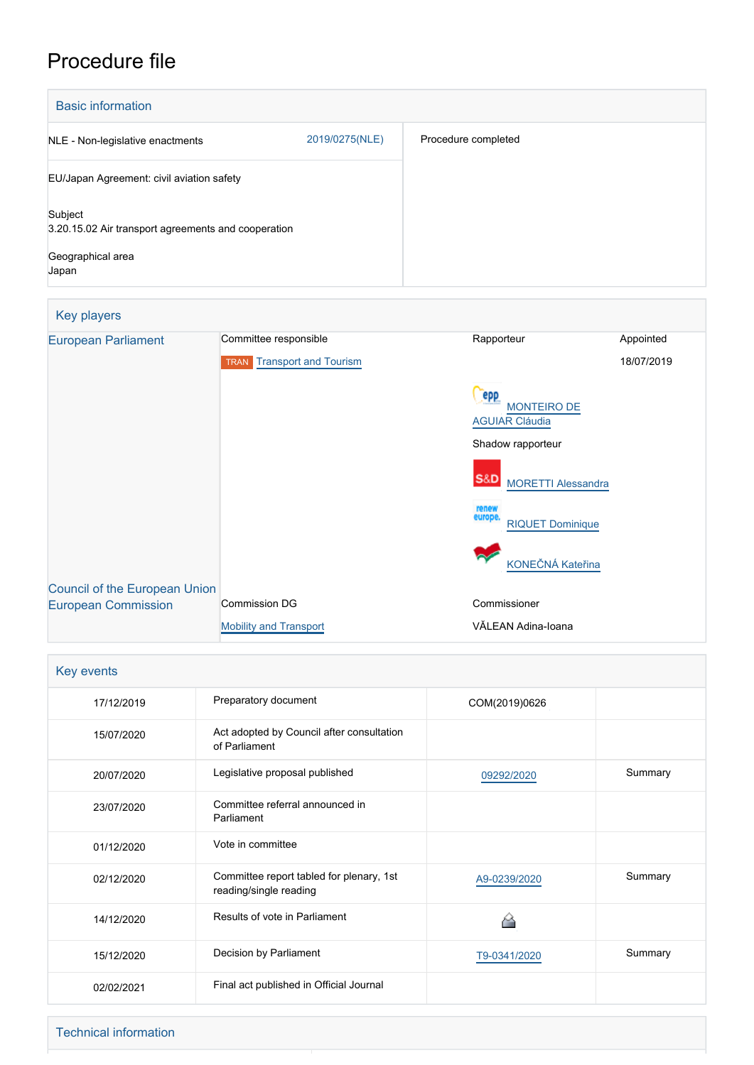# Procedure file

| <b>Basic information</b>                                                                     |                |                     |  |  |
|----------------------------------------------------------------------------------------------|----------------|---------------------|--|--|
| NLE - Non-legislative enactments                                                             | 2019/0275(NLE) | Procedure completed |  |  |
| EU/Japan Agreement: civil aviation safety                                                    |                |                     |  |  |
| Subject<br>3.20.15.02 Air transport agreements and cooperation<br>Geographical area<br>Japan |                |                     |  |  |

| Key players                                                        |                                             |                                                    |            |
|--------------------------------------------------------------------|---------------------------------------------|----------------------------------------------------|------------|
| <b>European Parliament</b>                                         | Committee responsible                       | Rapporteur                                         | Appointed  |
|                                                                    | <b>Transport and Tourism</b><br><b>TRAN</b> |                                                    | 18/07/2019 |
|                                                                    |                                             | epp<br><b>MONTEIRO DE</b><br><b>AGUIAR Cláudia</b> |            |
|                                                                    |                                             | Shadow rapporteur                                  |            |
|                                                                    |                                             | <b>S&amp;D</b><br><b>MORETTI Alessandra</b>        |            |
|                                                                    |                                             | renew<br>europe.<br><b>RIQUET Dominique</b>        |            |
|                                                                    |                                             | KONEČNÁ Kateřina                                   |            |
| <b>Council of the European Union</b><br><b>European Commission</b> | <b>Commission DG</b>                        | Commissioner                                       |            |
|                                                                    | <b>Mobility and Transport</b>               | VĂLEAN Adina-Ioana                                 |            |

| Key events |                                                                    |               |         |  |
|------------|--------------------------------------------------------------------|---------------|---------|--|
| 17/12/2019 | Preparatory document                                               | COM(2019)0626 |         |  |
| 15/07/2020 | Act adopted by Council after consultation<br>of Parliament         |               |         |  |
| 20/07/2020 | Legislative proposal published                                     | 09292/2020    | Summary |  |
| 23/07/2020 | Committee referral announced in<br>Parliament                      |               |         |  |
| 01/12/2020 | Vote in committee                                                  |               |         |  |
| 02/12/2020 | Committee report tabled for plenary, 1st<br>reading/single reading | A9-0239/2020  | Summary |  |
| 14/12/2020 | Results of vote in Parliament                                      |               |         |  |
| 15/12/2020 | Decision by Parliament                                             | T9-0341/2020  | Summary |  |
| 02/02/2021 | Final act published in Official Journal                            |               |         |  |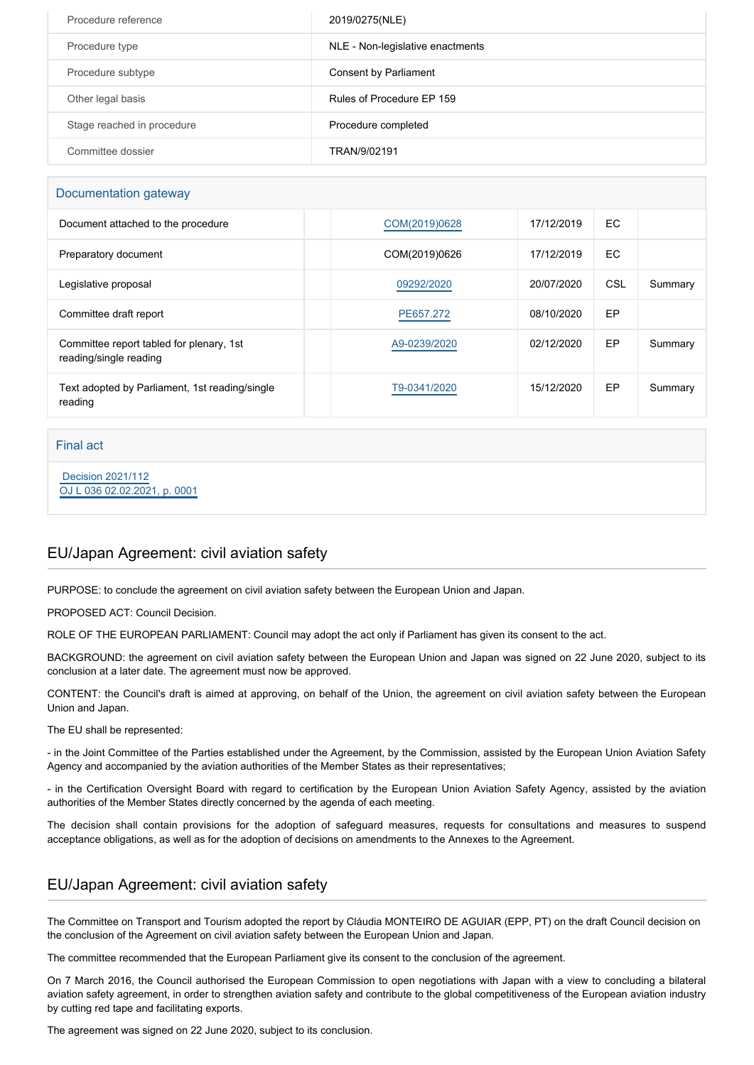| Procedure reference        | 2019/0275(NLE)                   |
|----------------------------|----------------------------------|
| Procedure type             | NLE - Non-legislative enactments |
| Procedure subtype          | Consent by Parliament            |
| Other legal basis          | Rules of Procedure EP 159        |
| Stage reached in procedure | Procedure completed              |
| Committee dossier          | TRAN/9/02191                     |

#### Documentation gateway

| Document attached to the procedure                                 | COM(2019)0628 | 17/12/2019 | EC  |         |
|--------------------------------------------------------------------|---------------|------------|-----|---------|
| Preparatory document                                               | COM(2019)0626 | 17/12/2019 | EC  |         |
| Legislative proposal                                               | 09292/2020    | 20/07/2020 | CSL | Summary |
| Committee draft report                                             | PE657.272     | 08/10/2020 | EP  |         |
| Committee report tabled for plenary, 1st<br>reading/single reading | A9-0239/2020  | 02/12/2020 | EP  | Summary |
| Text adopted by Parliament, 1st reading/single<br>reading          | T9-0341/2020  | 15/12/2020 | EP  | Summary |

#### Final act

 [Decision 2021/112](https://eur-lex.europa.eu/smartapi/cgi/sga_doc?smartapi!celexplus!prod!CELEXnumdoc&lg=EN&numdoc=32021D0112) [OJ L 036 02.02.2021, p. 0001](https://eur-lex.europa.eu/legal-content/EN/TXT/?uri=OJ:L:2021:036:TOC)

## EU/Japan Agreement: civil aviation safety

PURPOSE: to conclude the agreement on civil aviation safety between the European Union and Japan.

PROPOSED ACT: Council Decision.

ROLE OF THE EUROPEAN PARLIAMENT: Council may adopt the act only if Parliament has given its consent to the act.

BACKGROUND: the agreement on civil aviation safety between the European Union and Japan was signed on 22 June 2020, subject to its conclusion at a later date. The agreement must now be approved.

CONTENT: the Council's draft is aimed at approving, on behalf of the Union, the agreement on civil aviation safety between the European Union and Japan.

The EU shall be represented:

- in the Joint Committee of the Parties established under the Agreement, by the Commission, assisted by the European Union Aviation Safety Agency and accompanied by the aviation authorities of the Member States as their representatives;

- in the Certification Oversight Board with regard to certification by the European Union Aviation Safety Agency, assisted by the aviation authorities of the Member States directly concerned by the agenda of each meeting.

The decision shall contain provisions for the adoption of safeguard measures, requests for consultations and measures to suspend acceptance obligations, as well as for the adoption of decisions on amendments to the Annexes to the Agreement.

## EU/Japan Agreement: civil aviation safety

The Committee on Transport and Tourism adopted the report by Cláudia MONTEIRO DE AGUIAR (EPP, PT) on the draft Council decision on the conclusion of the Agreement on civil aviation safety between the European Union and Japan.

The committee recommended that the European Parliament give its consent to the conclusion of the agreement.

On 7 March 2016, the Council authorised the European Commission to open negotiations with Japan with a view to concluding a bilateral aviation safety agreement, in order to strengthen aviation safety and contribute to the global competitiveness of the European aviation industry by cutting red tape and facilitating exports.

The agreement was signed on 22 June 2020, subject to its conclusion.